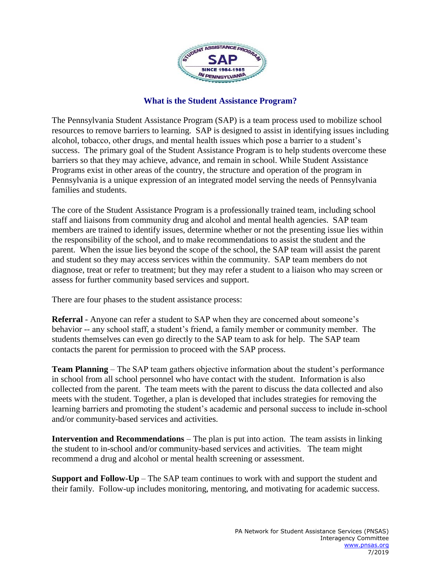

## **What is the Student Assistance Program?**

The Pennsylvania Student Assistance Program (SAP) is a team process used to mobilize school resources to remove barriers to learning. SAP is designed to assist in identifying issues including alcohol, tobacco, other drugs, and mental health issues which pose a barrier to a student's success. The primary goal of the Student Assistance Program is to help students overcome these barriers so that they may achieve, advance, and remain in school. While Student Assistance Programs exist in other areas of the country, the structure and operation of the program in Pennsylvania is a unique expression of an integrated model serving the needs of Pennsylvania families and students.

The core of the Student Assistance Program is a professionally trained team, including school staff and liaisons from community drug and alcohol and mental health agencies. SAP team members are trained to identify issues, determine whether or not the presenting issue lies within the responsibility of the school, and to make recommendations to assist the student and the parent. When the issue lies beyond the scope of the school, the SAP team will assist the parent and student so they may access services within the community. SAP team members do not diagnose, treat or refer to treatment; but they may refer a student to a liaison who may screen or assess for further community based services and support.

There are four phases to the student assistance process:

**Referral** - Anyone can refer a student to SAP when they are concerned about someone's behavior -- any school staff, a student's friend, a family member or community member. The students themselves can even go directly to the SAP team to ask for help. The SAP team contacts the parent for permission to proceed with the SAP process.

**Team Planning** – The SAP team gathers objective information about the student's performance in school from all school personnel who have contact with the student. Information is also collected from the parent. The team meets with the parent to discuss the data collected and also meets with the student. Together, a plan is developed that includes strategies for removing the learning barriers and promoting the student's academic and personal success to include in-school and/or community-based services and activities.

**Intervention and Recommendations** – The plan is put into action. The team assists in linking the student to in-school and/or community-based services and activities. The team might recommend a drug and alcohol or mental health screening or assessment.

**Support and Follow-Up** – The SAP team continues to work with and support the student and their family. Follow-up includes monitoring, mentoring, and motivating for academic success.